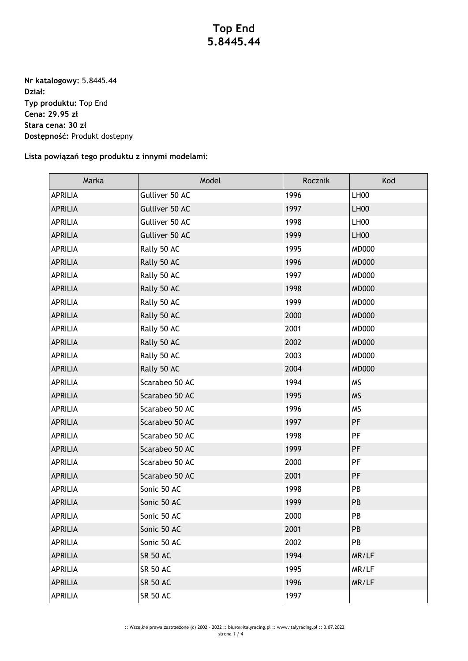## **Top End 5.8445.44**

**Nr katalogowy:** 5.8445.44 **Dział: Typ produktu:** Top End **Cena: 29.95 zł Stara cena: 30 zł Dostępność:** Produkt dostępny

## **Lista powiązań tego produktu z innymi modelami:**

| Marka          | Model           | Rocznik | Kod              |
|----------------|-----------------|---------|------------------|
| <b>APRILIA</b> | Gulliver 50 AC  | 1996    | LH00             |
| <b>APRILIA</b> | Gulliver 50 AC  | 1997    | LH <sub>00</sub> |
| <b>APRILIA</b> | Gulliver 50 AC  | 1998    | LH00             |
| <b>APRILIA</b> | Gulliver 50 AC  | 1999    | LH <sub>00</sub> |
| <b>APRILIA</b> | Rally 50 AC     | 1995    | <b>MD000</b>     |
| <b>APRILIA</b> | Rally 50 AC     | 1996    | <b>MD000</b>     |
| <b>APRILIA</b> | Rally 50 AC     | 1997    | <b>MD000</b>     |
| <b>APRILIA</b> | Rally 50 AC     | 1998    | <b>MD000</b>     |
| <b>APRILIA</b> | Rally 50 AC     | 1999    | <b>MD000</b>     |
| <b>APRILIA</b> | Rally 50 AC     | 2000    | <b>MD000</b>     |
| <b>APRILIA</b> | Rally 50 AC     | 2001    | <b>MD000</b>     |
| <b>APRILIA</b> | Rally 50 AC     | 2002    | <b>MD000</b>     |
| <b>APRILIA</b> | Rally 50 AC     | 2003    | <b>MD000</b>     |
| <b>APRILIA</b> | Rally 50 AC     | 2004    | <b>MD000</b>     |
| <b>APRILIA</b> | Scarabeo 50 AC  | 1994    | <b>MS</b>        |
| <b>APRILIA</b> | Scarabeo 50 AC  | 1995    | <b>MS</b>        |
| <b>APRILIA</b> | Scarabeo 50 AC  | 1996    | <b>MS</b>        |
| <b>APRILIA</b> | Scarabeo 50 AC  | 1997    | PF               |
| <b>APRILIA</b> | Scarabeo 50 AC  | 1998    | PF               |
| <b>APRILIA</b> | Scarabeo 50 AC  | 1999    | PF               |
| <b>APRILIA</b> | Scarabeo 50 AC  | 2000    | PF               |
| <b>APRILIA</b> | Scarabeo 50 AC  | 2001    | PF               |
| <b>APRILIA</b> | Sonic 50 AC     | 1998    | PB               |
| <b>APRILIA</b> | Sonic 50 AC     | 1999    | PB               |
| <b>APRILIA</b> | Sonic 50 AC     | 2000    | PB               |
| <b>APRILIA</b> | Sonic 50 AC     | 2001    | PB               |
| <b>APRILIA</b> | Sonic 50 AC     | 2002    | PB               |
| <b>APRILIA</b> | <b>SR 50 AC</b> | 1994    | MR/LF            |
| <b>APRILIA</b> | <b>SR 50 AC</b> | 1995    | MR/LF            |
| <b>APRILIA</b> | <b>SR 50 AC</b> | 1996    | MR/LF            |
| <b>APRILIA</b> | <b>SR 50 AC</b> | 1997    |                  |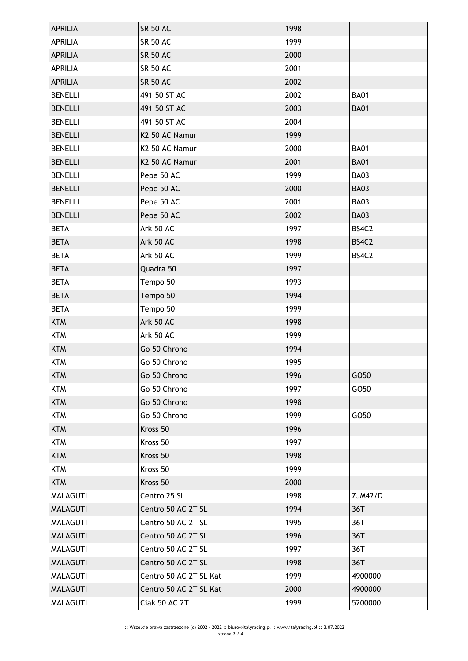| <b>APRILIA</b>  | <b>SR 50 AC</b>        | 1998 |             |
|-----------------|------------------------|------|-------------|
| <b>APRILIA</b>  | <b>SR 50 AC</b>        | 1999 |             |
| <b>APRILIA</b>  | <b>SR 50 AC</b>        | 2000 |             |
| <b>APRILIA</b>  | <b>SR 50 AC</b>        | 2001 |             |
| <b>APRILIA</b>  | <b>SR 50 AC</b>        | 2002 |             |
| <b>BENELLI</b>  | 491 50 ST AC           | 2002 | <b>BA01</b> |
| <b>BENELLI</b>  | 491 50 ST AC           | 2003 | <b>BA01</b> |
| <b>BENELLI</b>  | 491 50 ST AC           | 2004 |             |
| <b>BENELLI</b>  | K2 50 AC Namur         | 1999 |             |
| <b>BENELLI</b>  | K2 50 AC Namur         | 2000 | <b>BA01</b> |
| <b>BENELLI</b>  | K2 50 AC Namur         | 2001 | <b>BA01</b> |
| <b>BENELLI</b>  | Pepe 50 AC             | 1999 | <b>BA03</b> |
| <b>BENELLI</b>  | Pepe 50 AC             | 2000 | <b>BA03</b> |
| <b>BENELLI</b>  | Pepe 50 AC             | 2001 | <b>BA03</b> |
| <b>BENELLI</b>  | Pepe 50 AC             | 2002 | <b>BA03</b> |
| <b>BETA</b>     | Ark 50 AC              | 1997 | BS4C2       |
| <b>BETA</b>     | Ark 50 AC              | 1998 | BS4C2       |
| <b>BETA</b>     | Ark 50 AC              | 1999 | BS4C2       |
| <b>BETA</b>     | Quadra 50              | 1997 |             |
| <b>BETA</b>     | Tempo 50               | 1993 |             |
| <b>BETA</b>     | Tempo 50               | 1994 |             |
| <b>BETA</b>     | Tempo 50               | 1999 |             |
| <b>KTM</b>      | Ark 50 AC              | 1998 |             |
| <b>KTM</b>      | Ark 50 AC              | 1999 |             |
| <b>KTM</b>      | Go 50 Chrono           | 1994 |             |
| <b>KTM</b>      | Go 50 Chrono           | 1995 |             |
| <b>KTM</b>      | Go 50 Chrono           | 1996 | GO50        |
| <b>KTM</b>      | Go 50 Chrono           | 1997 | GO50        |
| <b>KTM</b>      | Go 50 Chrono           | 1998 |             |
| <b>KTM</b>      | Go 50 Chrono           | 1999 | GO50        |
| <b>KTM</b>      | Kross 50               | 1996 |             |
| <b>KTM</b>      | Kross 50               | 1997 |             |
| <b>KTM</b>      | Kross 50               | 1998 |             |
| <b>KTM</b>      | Kross 50               | 1999 |             |
| <b>KTM</b>      | Kross 50               | 2000 |             |
| <b>MALAGUTI</b> | Centro 25 SL           | 1998 | ZJM42/D     |
| <b>MALAGUTI</b> | Centro 50 AC 2T SL     | 1994 | 36T         |
| <b>MALAGUTI</b> | Centro 50 AC 2T SL     | 1995 | 36T         |
| <b>MALAGUTI</b> | Centro 50 AC 2T SL     | 1996 | 36T         |
| MALAGUTI        | Centro 50 AC 2T SL     | 1997 | 36T         |
| <b>MALAGUTI</b> | Centro 50 AC 2T SL     | 1998 | 36T         |
| <b>MALAGUTI</b> | Centro 50 AC 2T SL Kat | 1999 | 4900000     |
| <b>MALAGUTI</b> | Centro 50 AC 2T SL Kat | 2000 | 4900000     |
| <b>MALAGUTI</b> | Ciak 50 AC 2T          | 1999 | 5200000     |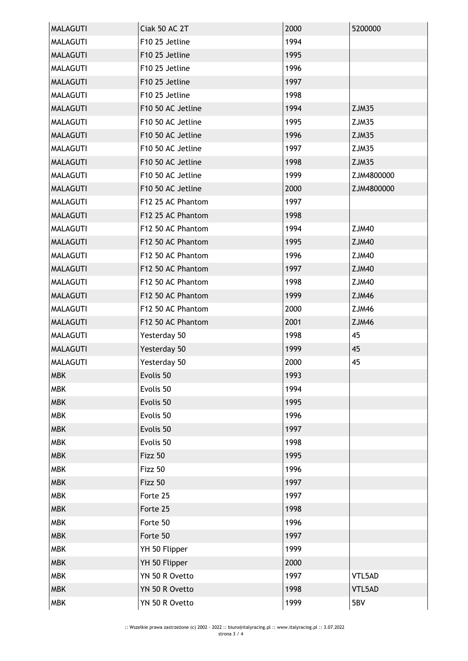| <b>MALAGUTI</b> | Ciak 50 AC 2T     | 2000 | 5200000      |
|-----------------|-------------------|------|--------------|
| <b>MALAGUTI</b> | F10 25 Jetline    | 1994 |              |
| <b>MALAGUTI</b> | F10 25 Jetline    | 1995 |              |
| MALAGUTI        | F10 25 Jetline    | 1996 |              |
| <b>MALAGUTI</b> | F10 25 Jetline    | 1997 |              |
| <b>MALAGUTI</b> | F10 25 Jetline    | 1998 |              |
| <b>MALAGUTI</b> | F10 50 AC Jetline | 1994 | ZJM35        |
| <b>MALAGUTI</b> | F10 50 AC Jetline | 1995 | ZJM35        |
| <b>MALAGUTI</b> | F10 50 AC Jetline | 1996 | ZJM35        |
| <b>MALAGUTI</b> | F10 50 AC Jetline | 1997 | ZJM35        |
| <b>MALAGUTI</b> | F10 50 AC Jetline | 1998 | ZJM35        |
| <b>MALAGUTI</b> | F10 50 AC Jetline | 1999 | ZJM4800000   |
| <b>MALAGUTI</b> | F10 50 AC Jetline | 2000 | ZJM4800000   |
| <b>MALAGUTI</b> | F12 25 AC Phantom | 1997 |              |
| <b>MALAGUTI</b> | F12 25 AC Phantom | 1998 |              |
| <b>MALAGUTI</b> | F12 50 AC Phantom | 1994 | <b>ZJM40</b> |
| <b>MALAGUTI</b> | F12 50 AC Phantom | 1995 | <b>ZJM40</b> |
| <b>MALAGUTI</b> | F12 50 AC Phantom | 1996 | ZJM40        |
| <b>MALAGUTI</b> | F12 50 AC Phantom | 1997 | <b>ZJM40</b> |
| <b>MALAGUTI</b> | F12 50 AC Phantom | 1998 | ZJM40        |
| <b>MALAGUTI</b> | F12 50 AC Phantom | 1999 | <b>ZJM46</b> |
| <b>MALAGUTI</b> | F12 50 AC Phantom | 2000 | ZJM46        |
| <b>MALAGUTI</b> | F12 50 AC Phantom | 2001 | <b>ZJM46</b> |
| <b>MALAGUTI</b> | Yesterday 50      | 1998 | 45           |
| <b>MALAGUTI</b> | Yesterday 50      | 1999 | 45           |
| <b>MALAGUTI</b> | Yesterday 50      | 2000 | 45           |
| <b>MBK</b>      | Evolis 50         | 1993 |              |
| <b>MBK</b>      | Evolis 50         | 1994 |              |
| <b>MBK</b>      | Evolis 50         | 1995 |              |
| <b>MBK</b>      | Evolis 50         | 1996 |              |
| <b>MBK</b>      | Evolis 50         | 1997 |              |
| <b>MBK</b>      | Evolis 50         | 1998 |              |
| <b>MBK</b>      | Fizz 50           | 1995 |              |
| <b>MBK</b>      | Fizz 50           | 1996 |              |
| <b>MBK</b>      | Fizz 50           | 1997 |              |
| <b>MBK</b>      | Forte 25          | 1997 |              |
| <b>MBK</b>      | Forte 25          | 1998 |              |
| <b>MBK</b>      | Forte 50          | 1996 |              |
| <b>MBK</b>      | Forte 50          | 1997 |              |
| <b>MBK</b>      | YH 50 Flipper     | 1999 |              |
| <b>MBK</b>      | YH 50 Flipper     | 2000 |              |
| <b>MBK</b>      | YN 50 R Ovetto    | 1997 | VTL5AD       |
| <b>MBK</b>      | YN 50 R Ovetto    | 1998 | VTL5AD       |
| <b>MBK</b>      | YN 50 R Ovetto    | 1999 | 5BV          |